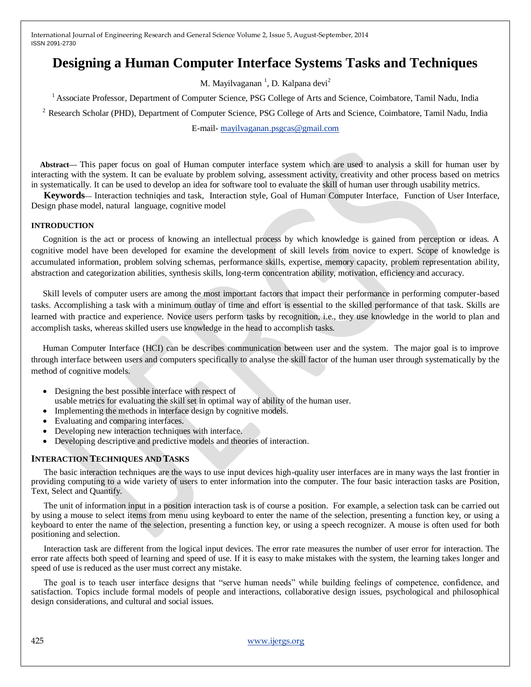# **Designing a Human Computer Interface Systems Tasks and Techniques**

M. Mayilvaganan <sup>1</sup>, D. Kalpana devi<sup>2</sup>

<sup>1</sup> Associate Professor, Department of Computer Science, PSG College of Arts and Science, Coimbatore, Tamil Nadu, India

<sup>2</sup> Research Scholar (PHD), Department of Computer Science, PSG College of Arts and Science, Coimbatore, Tamil Nadu, India

E-mail- [mayilvaganan.psgcas@gmail.com](mailto:mayilvaganan.psgcas@gmail.com)

**Abstract—** This paper focus on goal of Human computer interface system which are used to analysis a skill for human user by interacting with the system. It can be evaluate by problem solving, assessment activity, creativity and other process based on metrics in systematically. It can be used to develop an idea for software tool to evaluate the skill of human user through usability metrics.

**Keywords—** Interaction techniqies and task, Interaction style, Goal of Human Computer Interface, Function of User Interface, Design phase model, natural language, cognitive model

#### **INTRODUCTION**

Cognition is the act or process of knowing an intellectual process by which knowledge is gained from perception or ideas. A cognitive model have been developed for examine the development of skill levels from novice to expert. Scope of knowledge is accumulated information, problem solving schemas, performance skills, expertise, memory capacity, problem representation ability, abstraction and categorization abilities, synthesis skills, long-term concentration ability, motivation, efficiency and accuracy.

Skill levels of computer users are among the most important factors that impact their performance in performing computer-based tasks. Accomplishing a task with a minimum outlay of time and effort is essential to the skilled performance of that task. Skills are learned with practice and experience. Novice users perform tasks by recognition, i.e., they use knowledge in the world to plan and accomplish tasks, whereas skilled users use knowledge in the head to accomplish tasks.

Human Computer Interface (HCI) can be describes communication between user and the system. The major goal is to improve through interface between users and computers specifically to analyse the skill factor of the human user through systematically by the method of cognitive models.

- Designing the best possible interface with respect of
- usable metrics for evaluating the skill set in optimal way of ability of the human user.
- Implementing the methods in interface design by cognitive models.
- Evaluating and comparing interfaces.
- Developing new interaction techniques with interface.
- Developing descriptive and predictive models and theories of interaction.

## **INTERACTION TECHNIQUES AND TASKS**

The basic interaction techniques are the ways to use input devices high-quality user interfaces are in many ways the last frontier in providing computing to a wide variety of users to enter information into the computer. The four basic interaction tasks are Position, Text, Select and Quantify.

The unit of information input in a position interaction task is of course a position. For example, a selection task can be carried out by using a mouse to select items from menu using keyboard to enter the name of the selection, presenting a function key, or using a keyboard to enter the name of the selection, presenting a function key, or using a speech recognizer. A mouse is often used for both positioning and selection.

Interaction task are different from the logical input devices. The error rate measures the number of user error for interaction. The error rate affects both speed of learning and speed of use. If it is easy to make mistakes with the system, the learning takes longer and speed of use is reduced as the user must correct any mistake.

The goal is to teach user interface designs that "serve human needs" while building feelings of competence, confidence, and satisfaction. Topics include formal models of people and interactions, collaborative design issues, psychological and philosophical design considerations, and cultural and social issues.

425 [www.ijergs.org](http://www.ijergs.org/)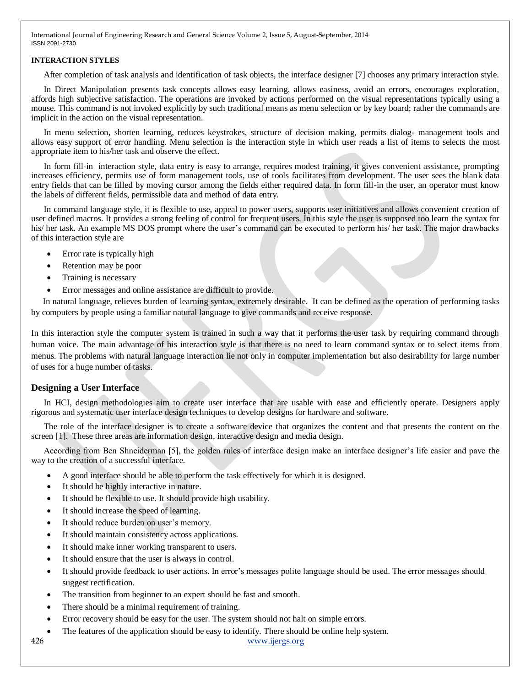#### **INTERACTION STYLES**

After completion of task analysis and identification of task objects, the interface designer [7] chooses any primary interaction style.

In Direct Manipulation presents task concepts allows easy learning, allows easiness, avoid an errors, encourages exploration, affords high subjective satisfaction. The operations are invoked by actions performed on the visual representations typically using a mouse. This command is not invoked explicitly by such traditional means as menu selection or by key board; rather the commands are implicit in the action on the visual representation.

In menu selection, shorten learning, reduces keystrokes, structure of decision making, permits dialog- management tools and allows easy support of error handling. Menu selection is the interaction style in which user reads a list of items to selects the most appropriate item to his/her task and observe the effect.

In form fill-in interaction style, data entry is easy to arrange, requires modest training, it gives convenient assistance, prompting increases efficiency, permits use of form management tools, use of tools facilitates from development. The user sees the blank data entry fields that can be filled by moving cursor among the fields either required data. In form fill-in the user, an operator must know the labels of different fields, permissible data and method of data entry.

In command language style, it is flexible to use, appeal to power users, supports user initiatives and allows convenient creation of user defined macros. It provides a strong feeling of control for frequent users. In this style the user is supposed too learn the syntax for his/ her task. An example MS DOS prompt where the user's command can be executed to perform his/ her task. The major drawbacks of this interaction style are

- Error rate is typically high
- Retention may be poor
- Training is necessary
- Error messages and online assistance are difficult to provide.

In natural language, relieves burden of learning syntax, extremely desirable. It can be defined as the operation of performing tasks by computers by people using a familiar natural language to give commands and receive response.

In this interaction style the computer system is trained in such a way that it performs the user task by requiring command through human voice. The main advantage of his interaction style is that there is no need to learn command syntax or to select items from menus. The problems with natural language interaction lie not only in computer implementation but also desirability for large number of uses for a huge number of tasks.

## **Designing a User Interface**

In HCI, design methodologies aim to create user interface that are usable with ease and efficiently operate. Designers apply rigorous and systematic user interface design techniques to develop designs for hardware and software.

The role of the interface designer is to create a software device that organizes the content and that presents the content on the screen [1]. These three areas are information design, interactive design and media design.

According from Ben Shneiderman [5], the golden rules of interface design make an interface designer's life easier and pave the way to the creation of a successful interface.

- A good interface should be able to perform the task effectively for which it is designed.
- It should be highly interactive in nature.
- It should be flexible to use. It should provide high usability.
- It should increase the speed of learning.
- It should reduce burden on user's memory.
- It should maintain consistency across applications.
- It should make inner working transparent to users.
- It should ensure that the user is always in control.
- It should provide feedback to user actions. In error's messages polite language should be used. The error messages should suggest rectification.
- The transition from beginner to an expert should be fast and smooth.
- There should be a minimal requirement of training.
- Error recovery should be easy for the user. The system should not halt on simple errors.
- The features of the application should be easy to identify. There should be online help system.

426 [www.ijergs.org](http://www.ijergs.org/)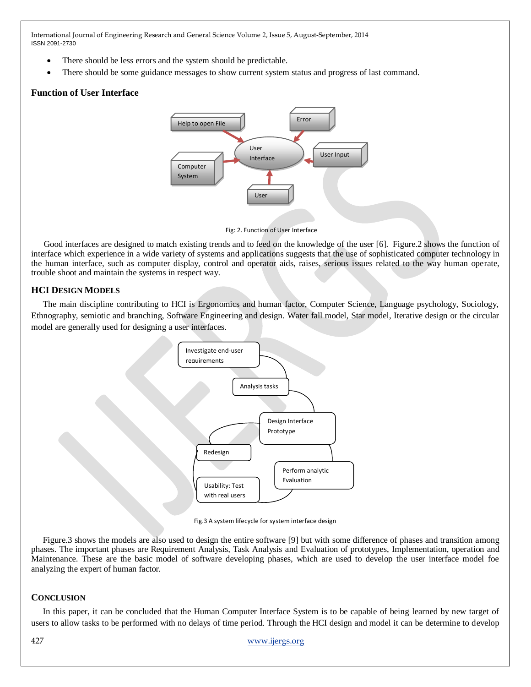- There should be less errors and the system should be predictable.
- There should be some guidance messages to show current system status and progress of last command.

## **Function of User Interface**



Fig: 2. Function of User Interface

Good interfaces are designed to match existing trends and to feed on the knowledge of the user [6]. Figure.2 shows the function of interface which experience in a wide variety of systems and applications suggests that the use of sophisticated computer technology in the human interface, such as computer display, control and operator aids, raises, serious issues related to the way human operate, trouble shoot and maintain the systems in respect way.

## **HCI DESIGN MODELS**

The main discipline contributing to HCI is Ergonomics and human factor, Computer Science, Language psychology, Sociology, Ethnography, semiotic and branching, Software Engineering and design. Water fall model, Star model, Iterative design or the circular model are generally used for designing a user interfaces.



Fig.3 A system lifecycle for system interface design

Figure.3 shows the models are also used to design the entire software [9] but with some difference of phases and transition among phases. The important phases are Requirement Analysis, Task Analysis and Evaluation of prototypes, Implementation, operation and Maintenance. These are the basic model of software developing phases, which are used to develop the user interface model foe analyzing the expert of human factor.

## **CONCLUSION**

In this paper, it can be concluded that the Human Computer Interface System is to be capable of being learned by new target of users to allow tasks to be performed with no delays of time period. Through the HCI design and model it can be determine to develop